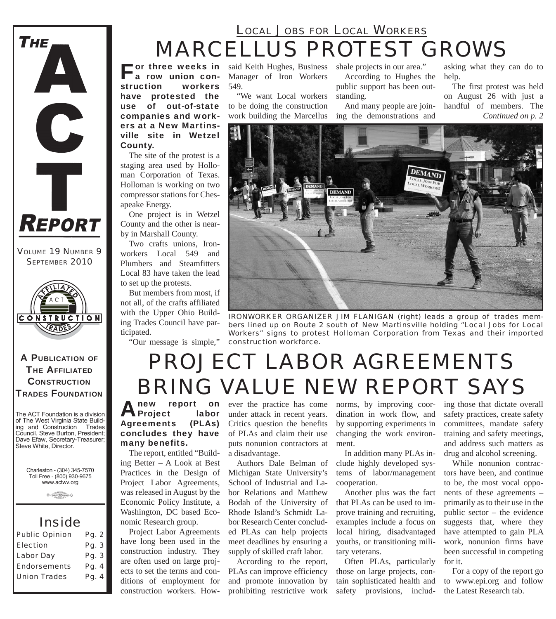## *MARCELLUS PROTEST GROWS LOCAL JOBS FOR LOCAL WORKERS*

For three weeks in said Keith Hughes, Business<br> **a** row union con- Manager of Iron Workers a row union construction workers have protested the use of out-of-state companies and workers at a New Martinsville site in Wetzel County.

The site of the protest is a staging area used by Holloman Corporation of Texas. Holloman is working on two compressor stations for Chesapeake Energy.

One project is in Wetzel County and the other is nearby in Marshall County.

Two crafts unions, Ironworkers Local 549 and Plumbers and Steamfitters Local 83 have taken the lead to set up the protests.

But members from most, if not all, of the crafts affiliated with the Upper Ohio Building Trades Council have participated.

"Our message is simple,"

Manager of Iron Workers 549.

"We want Local workers to be doing the construction work building the Marcellus shale projects in our area."

According to Hughes the public support has been outstanding.

And many people are joining the demonstrations and

asking what they can do to help.

The first protest was held on August 26 with just a handful of members. The *Continued on p. 2*



*IRONWORKER ORGANIZER JIM FLANIGAN (right) leads a group of trades members lined up on Route 2 south of New Martinsville holding "Local Jobs for Local Workers" signs to protest Holloman Corporation from Texas and their imported construction workforce.*

# *PROJECT LABOR AGREEMENTS BRING VALUE NEW REPORT SAYS*

new report on<br>**Project labor**<br>eements (PLAs) Project Agreements concludes they have many benefits.

The report, entitled "Building Better – A Look at Best Practices in the Design of Project Labor Agreements, was released in August by the Economic Policy Institute, a Washington, DC based Economic Research group.

Project Labor Agreements have long been used in the construction industry. They are often used on large projects to set the terms and conditions of employment for construction workers. However the practice has come under attack in recent years. Critics question the benefits of PLAs and claim their use puts nonunion contractors at a disadvantage.

Authors Dale Belman of Michigan State University's School of Industrial and Labor Relations and Matthew Bodah of the University of Rhode Island's Schmidt Labor Research Center concluded PLAs can help projects meet deadlines by ensuring a supply of skilled craft labor.

According to the report, PLAs can improve efficiency and promote innovation by prohibiting restrictive work

norms, by improving coordination in work flow, and by supporting experiments in changing the work environment.

In addition many PLAs include highly developed systems of labor/management cooperation.

Another plus was the fact that PLAs can be used to improve training and recruiting, examples include a focus on local hiring, disadvantaged youths, or transitioning military veterans.

Often PLAs, particularly those on large projects, contain sophisticated health and safety provisions, including those that dictate overall safety practices, create safety committees, mandate safety training and safety meetings, and address such matters as drug and alcohol screening.

While nonunion contractors have been, and continue to be, the most vocal opponents of these agreements – primarily as to their use in the public sector – the evidence suggests that, where they have attempted to gain PLA work, nonunion firms have been successful in competing for it.

For a copy of the report go to www.epi.org and follow the Latest Research tab.

TRADES FOUNDATION The ACT Foundation is a division of The West Virginia State Building and Construction Trades

A PUBLICATION OF **THE AFFILIATED CONSTRUCTION** 

**CONSTRUCTION** RADE

*VOLUME 19 NUMBER 9 SEPTEMBER 2010*

**REPORT** 

**THE** 

A

C

Ť



Charleston - (304) 345-7570 Toll Free - (800) 930-9675 www.actwv.org



### *Inside*

| <b>Public Opinion</b> | Pg. 2 |
|-----------------------|-------|
| <b>Election</b>       | Pg. 3 |
| <b>Labor Day</b>      | Pg. 3 |
| <b>Endorsements</b>   | Pg. 4 |
| <b>Union Trades</b>   | Pg. 4 |
|                       |       |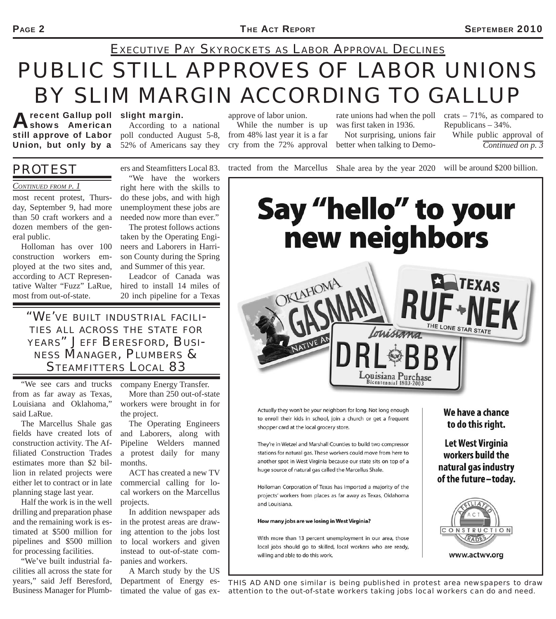## *PUBLIC STILL APPROVES OF LABOR UNIONS BY SLIM MARGIN ACCORDING TO GALLUP EXECUTIVE PAY SKYROCKETS AS LABOR APPROVAL DECLINES*

**A** recent Gallup poll<br>
shows American still approve of Labor poll conducted August 5-8, Union, but only by a recent Gallup poll slight margin.

According to a national 52% of Americans say they

approve of labor union.

While the number is up from 48% last year it is a far cry from the 72% approval

rate unions had when the poll was first taken in 1936.

Not surprising, unions fair better when talking to Democrats – 71%, as compared to Republicans – 34%.

While public approval of *Continued on p. 3*

### *PROTEST*

#### *CONTINUED FROM P. 1*

most recent protest, Thursday, September 9, had more than 50 craft workers and a dozen members of the general public.

Holloman has over 100 construction workers employed at the two sites and, according to ACT Representative Walter "Fuzz" LaRue, most from out-of-state.

ers and Steamfitters Local 83. "We have the workers right here with the skills to do these jobs, and with high unemployment these jobs are needed now more than ever."

The protest follows actions taken by the Operating Engineers and Laborers in Harrison County during the Spring and Summer of this year.

Leadcor of Canada was hired to install 14 miles of 20 inch pipeline for a Texas

*"WE'VE BUILT INDUSTRIAL FACILI-TIES ALL ACROSS THE STATE FOR YEARS" JEFF BERESFORD, BUSI-NESS MANAGER, PLUMBERS & STEAMFITTERS LOCAL 83*

"We see cars and trucks company Energy Transfer. from as far away as Texas, Louisiana and Oklahoma," said LaRue.

The Marcellus Shale gas fields have created lots of construction activity. The Affiliated Construction Trades estimates more than \$2 billion in related projects were either let to contract or in late planning stage last year.

Half the work is in the well drilling and preparation phase and the remaining work is estimated at \$500 million for pipelines and \$500 million for processing facilities.

"We've built industrial facilities all across the state for years," said Jeff Beresford, Business Manager for Plumb-

More than 250 out-of-state workers were brought in for the project.

The Operating Engineers and Laborers, along with Pipeline Welders manned a protest daily for many months.

ACT has created a new TV commercial calling for local workers on the Marcellus projects.

In addition newspaper ads in the protest areas are drawing attention to the jobs lost to local workers and given instead to out-of-state companies and workers.

A March study by the US Department of Energy estimated the value of gas extracted from the Marcellus Shale area by the year 2020 will be around \$200 billion.



Actually they won't be your neighbors for long. Not long enough to enroll their kids in school, join a church or get a frequent shopper card at the local grocery store.

They're in Wetzel and Marshall Counties to build two compressor stations for natural gas. These workers could move from here to another spot in West Virginia because our state sits on top of a huge source of natural gas called the Marcellus Shale.

Holloman Corporation of Texas has imported a majority of the projects' workers from places as far away as Texas, Oklahoma and Louisiana.

#### How many jobs are we losing in West Virginia?

With more than 13 percent unemployment in our area, those local jobs should go to skilled, local workers who are ready, willing and able to do this work.

We have a chance to do this right.

**Let West Virginia** workers build the natural gas industry of the future-today.



*THIS AD AND one similar is being published in protest area newspapers to draw attention to the out-of-state workers taking jobs local workers can do and need.*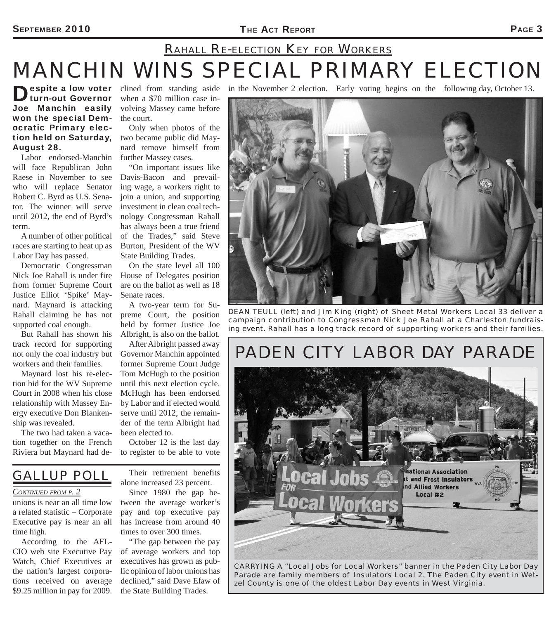## *MANCHIN WINS SPECIAL PRIMARY ELECTION RAHALL RE-ELECTION KEY FOR WORKERS*

**Despite a low voter** clined from standing aside in the November 2 election. Early voting begins on the following day, October 13.<br> **Construct Governor** when a \$70 million case inturn-out Governor Joe Manchin easily won the special Democratic Primary election held on Saturday, August 28.

Labor endorsed-Manchin will face Republican John Raese in November to see who will replace Senator Robert C. Byrd as U.S. Senator. The winner will serve until 2012, the end of Byrd's term.

A number of other political races are starting to heat up as Labor Day has passed.

Democratic Congressman Nick Joe Rahall is under fire from former Supreme Court Justice Elliot 'Spike' Maynard. Maynard is attacking Rahall claiming he has not supported coal enough.

But Rahall has shown his track record for supporting not only the coal industry but workers and their families.

Maynard lost his re-election bid for the WV Supreme Court in 2008 when his close relationship with Massey Energy executive Don Blankenship was revealed.

The two had taken a vacation together on the French Riviera but Maynard had dewhen a \$70 million case involving Massey came before the court.

Only when photos of the two became public did Maynard remove himself from further Massey cases.

"On important issues like Davis-Bacon and prevailing wage, a workers right to join a union, and supporting investment in clean coal technology Congressman Rahall has always been a true friend of the Trades," said Steve Burton, President of the WV State Building Trades.

On the state level all 100 House of Delegates position are on the ballot as well as 18 Senate races.

A two-year term for Supreme Court, the position held by former Justice Joe Albright, is also on the ballot.

After Albright passed away Governor Manchin appointed former Supreme Court Judge Tom McHugh to the position until this next election cycle. McHugh has been endorsed by Labor and if elected would serve until 2012, the remainder of the term Albright had been elected to.

October 12 is the last day to register to be able to vote

### *GALLUP POLL*

#### *CONTINUED FROM P. 2*

unions is near an all time low a related statistic – Corporate Executive pay is near an all time high.

According to the AFL-CIO web site Executive Pay Watch, Chief Executives at the nation's largest corporations received on average \$9.25 million in pay for 2009.

Their retirement benefits alone increased 23 percent.

Since 1980 the gap between the average worker's pay and top executive pay has increase from around 40 times to over 300 times.

"The gap between the pay of average workers and top executives has grown as public opinion of labor unions has declined," said Dave Efaw of the State Building Trades.



*DEAN TEULL (left) and Jim King (right) of Sheet Metal Workers Local 33 deliver a campaign contribution to Congressman Nick Joe Rahall at a Charleston fundraising event. Rahall has a long track record of supporting workers and their families.*



*CARRYING A "Local Jobs for Local Workers" banner in the Paden City Labor Day Parade are family members of Insulators Local 2. The Paden City event in Wetzel County is one of the oldest Labor Day events in West Virginia.*